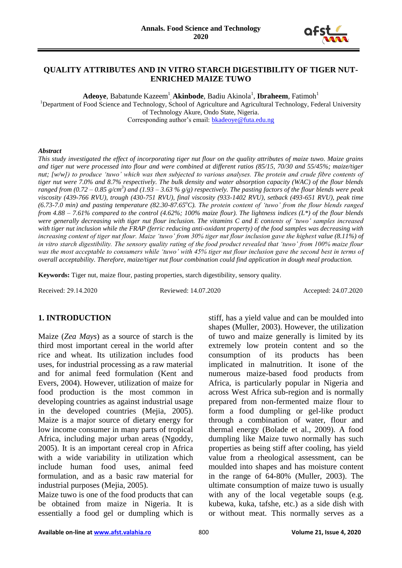

## **QUALITY ATTRIBUTES AND IN VITRO STARCH DIGESTIBILITY OF TIGER NUT-ENRICHED MAIZE TUWO**

 $\mathbf A$ **deoye**, Babatunde Kazeem<sup>1</sup>, **Akinbode**, Badiu Akinola<sup>1</sup>, **Ibraheem**, Fatimoh<sup>1</sup>

<sup>1</sup>Department of Food Science and Technology, School of Agriculture and Agricultural Technology, Federal University of Technology Akure, Ondo State, Nigeria.

Corresponding author's email: [bkadeoye@futa.edu.ng](mailto:bkadeoye@futa.edu.ng)

#### *Abstract*

*This study investigated the effect of incorporating tiger nut flour on the quality attributes of maize tuwo. Maize grains and tiger nut were processed into flour and were combined at different ratios (85/15, 70/30 and 55/45%; maize/tiger nut; [w/w]) to produce 'tuwo' which was then subjected to various analyses. The protein and crude fibre contents of tiger nut were 7.0% and 8.7% respectively. The bulk density and water absorption capacity (WAC) of the flour blends ranged from (0.72 – 0.85 g/cm<sup>3</sup> ) and (1.93 – 3.63 % g/g) respectively. The pasting factors of the flour blends were peak viscosity (439-766 RVU), trough (430-751 RVU), final viscosity (933-1402 RVU), setback (493-651 RVU), peak time (6.73-7.0 min) and pasting temperature (82.30-87.65<sup>o</sup>C). The protein content of 'tuwo' from the flour blends ranged from 4.88 – 7.61% compared to the control (4.62%; 100% maize flour). The lightness indices (L\*) of the flour blends were generally decreasing with tiger nut flour inclusion. The vitamins C and E contents of 'tuwo' samples increased with tiger nut inclusion while the FRAP (ferric reducing anti-oxidant property) of the food samples was decreasing with increasing content of tiger nut flour. Maize 'tuwo' from 30% tiger nut flour inclusion gave the highest value (8.11%) of in vitro starch digestibility. The sensory quality rating of the food product revealed that 'tuwo' from 100% maize flour was the most acceptable to consumers while 'tuwo' with 45% tiger nut flour inclusion gave the second best in terms of overall acceptability. Therefore, maize/tiger nut flour combination could find application in dough meal production.*

**Keywords:** Tiger nut, maize flour, pasting properties, starch digestibility, sensory quality.

Received: 29.14.2020 Reviewed: 14.07.2020 Accepted: 24.07.2020

#### **1. INTRODUCTION**

Maize (*Zea Mays*) as a source of starch is the third most important cereal in the world after rice and wheat. Its utilization includes food uses, for industrial processing as a raw material and for animal feed formulation (Kent and Evers, 2004). However, utilization of maize for food production is the most common in developing countries as against industrial usage in the developed countries (Mejia, 2005). Maize is a major source of dietary energy for low income consumer in many parts of tropical Africa, including major urban areas (Ngoddy, 2005). It is an important cereal crop in Africa with a wide variability in utilization which include human food uses, animal feed formulation, and as a basic raw material for industrial purposes (Mejia, 2005).

Maize tuwo is one of the food products that can be obtained from maize in Nigeria. It is essentially a food gel or dumpling which is

stiff, has a yield value and can be moulded into shapes (Muller, 2003). However, the utilization of tuwo and maize generally is limited by its extremely low protein content and so the consumption of its products has been implicated in malnutrition. It isone of the numerous maize-based food products from Africa, is particularly popular in Nigeria and across West Africa sub-region and is normally prepared from non-fermented maize flour to form a food dumpling or gel-like product through a combination of water, flour and thermal energy (Bolade et al., 2009). A food dumpling like Maize tuwo normally has such properties as being stiff after cooling, has yield value from a rheological assessment, can be moulded into shapes and has moisture content in the range of 64-80% (Muller, 2003). The ultimate consumption of maize tuwo is usually with any of the local vegetable soups (e.g. kubewa, kuka, tafshe, etc.) as a side dish with or without meat. This normally serves as a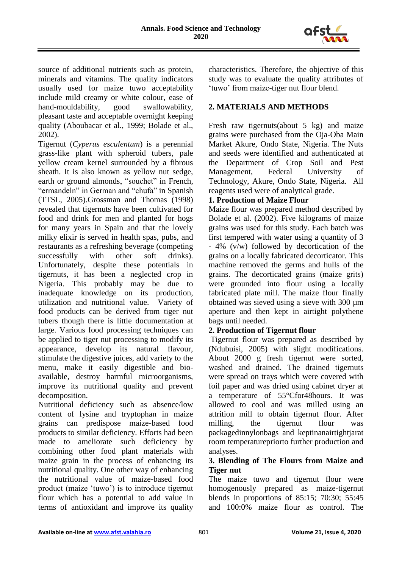

source of additional nutrients such as protein, minerals and vitamins. The quality indicators usually used for maize tuwo acceptability include mild creamy or white colour, ease of hand-mouldability, good swallowability, pleasant taste and acceptable overnight keeping quality (Aboubacar et al., 1999; Bolade et al., 2002).

Tigernut (*Cyperus esculentum*) is a perennial grass-like plant with spheroid tubers, pale yellow cream kernel surrounded by a fibrous sheath. It is also known as yellow nut sedge, earth or ground almonds, "souchet" in French, "ermandeln" in German and "chufa" in Spanish (TTSL, 2005).Grossman and Thomas (1998) revealed that tigernuts have been cultivated for food and drink for men and planted for hogs for many years in Spain and that the lovely milky elixir is served in health spas, pubs, and restaurants as a refreshing beverage (competing successfully with other soft drinks). Unfortunately, despite these potentials in tigernuts, it has been a neglected crop in Nigeria. This probably may be due to inadequate knowledge on its production, utilization and nutritional value. Variety of food products can be derived from tiger nut tubers though there is little documentation at large. Various food processing techniques can be applied to tiger nut processing to modify its appearance, develop its natural flavour, stimulate the digestive juices, add variety to the menu, make it easily digestible and bioavailable, destroy harmful microorganisms, improve its nutritional quality and prevent decomposition.

Nutritional deficiency such as absence/low content of lysine and tryptophan in maize grains can predispose maize-based food products to similar deficiency. Efforts had been made to ameliorate such deficiency by combining other food plant materials with maize grain in the process of enhancing its nutritional quality. One other way of enhancing the nutritional value of maize-based food product (maize 'tuwo') is to introduce tigernut flour which has a potential to add value in terms of antioxidant and improve its quality characteristics. Therefore, the objective of this study was to evaluate the quality attributes of 'tuwo' from maize-tiger nut flour blend.

# **2. MATERIALS AND METHODS**

Fresh raw tigernuts(about 5 kg) and maize grains were purchased from the Oja-Oba Main Market Akure, Ondo State, Nigeria. The Nuts and seeds were identified and authenticated at the Department of Crop Soil and Pest Management, Federal University of Technology, Akure, Ondo State, Nigeria. All reagents used were of analytical grade.

# **1. Production of Maize Flour**

Maize flour was prepared method described by Bolade et al. (2002). Five kilograms of maize grains was used for this study. Each batch was first tempered with water using a quantity of 3 - 4% (v/w) followed by decortication of the grains on a locally fabricated decorticator. This machine removed the germs and hulls of the grains. The decorticated grains (maize grits) were grounded into flour using a locally fabricated plate mill. The maize flour finally obtained was sieved using a sieve with 300 µm aperture and then kept in airtight polythene bags until needed.

# **2. Production of Tigernut flour**

Tigernut flour was prepared as described by (Ndubuisi, 2005) with slight modifications. About 2000 g fresh tigernut were sorted, washed and drained. The drained tigernuts were spread on trays which were covered with foil paper and was dried using cabinet dryer at a temperature of 55°Cfor48hours. It was allowed to cool and was milled using an attrition mill to obtain tigernut flour. After milling, the tigernut flour was packagedinnylonbags and keptinanairtightjarat room temperaturepriorto further production and analyses.

## **3. Blending of The Flours from Maize and Tiger nut**

The maize tuwo and tigernut flour were homogenously prepared as maize-tigernut blends in proportions of 85:15; 70:30; 55:45 and 100:0% maize flour as control. The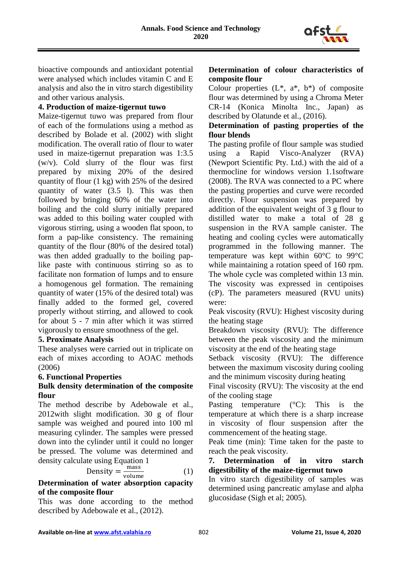

bioactive compounds and antioxidant potential were analysed which includes vitamin C and E analysis and also the in vitro starch digestibility and other various analysis.

## **4. Production of maize-tigernut tuwo**

Maize-tigernut tuwo was prepared from flour of each of the formulations using a method as described by Bolade et al. (2002) with slight modification. The overall ratio of flour to water used in maize-tigernut preparation was 1:3.5 (w/v). Cold slurry of the flour was first prepared by mixing 20% of the desired quantity of flour (1 kg) with 25% of the desired quantity of water (3.5 l). This was then followed by bringing 60% of the water into boiling and the cold slurry initially prepared was added to this boiling water coupled with vigorous stirring, using a wooden flat spoon, to form a pap-like consistency. The remaining quantity of the flour (80% of the desired total) was then added gradually to the boiling paplike paste with continuous stirring so as to facilitate non formation of lumps and to ensure a homogenous gel formation. The remaining quantity of water (15% of the desired total) was finally added to the formed gel, covered properly without stirring, and allowed to cook for about 5 - 7 min after which it was stirred vigorously to ensure smoothness of the gel.

#### **5. Proximate Analysis**

These analyses were carried out in triplicate on each of mixes according to AOAC methods (2006)

#### **6. Functional Properties**

#### **Bulk density determination of the composite flour**

The method describe by Adebowale et al., 2012with slight modification. 30 g of flour sample was weighed and poured into 100 ml measuring cylinder. The samples were pressed down into the cylinder until it could no longer be pressed. The volume was determined and density calculate using Equation 1

$$
Density = \frac{mass}{volume}
$$
 (1)

## **Determination of water absorption capacity of the composite flour**

This was done according to the method described by Adebowale et al., (2012).

# **Determination of colour characteristics of composite flour**

Colour properties  $(L^*, a^*, b^*)$  of composite flour was determined by using a Chroma Meter CR-14 (Konica Minolta Inc., Japan) as described by Olatunde et al., (2016).

# **Determination of pasting properties of the flour blends**

The pasting profile of flour sample was studied using a Rapid Visco-Analyzer (RVA) (Newport Scientific Pty. Ltd.) with the aid of a thermocline for windows version 1.1software (2008). The RVA was connected to a PC where the pasting properties and curve were recorded directly. Flour suspension was prepared by addition of the equivalent weight of 3 g flour to distilled water to make a total of 28 g suspension in the RVA sample canister. The heating and cooling cycles were automatically programmed in the following manner. The temperature was kept within 60°C to 99°C while maintaining a rotation speed of 160 rpm. The whole cycle was completed within 13 min. The viscosity was expressed in centipoises (cP). The parameters measured (RVU units) were:

Peak viscosity (RVU): Highest viscosity during the heating stage

Breakdown viscosity (RVU): The difference between the peak viscosity and the minimum viscosity at the end of the heating stage

Setback viscosity (RVU): The difference between the maximum viscosity during cooling and the minimum viscosity during heating

Final viscosity (RVU): The viscosity at the end of the cooling stage

Pasting temperature  $(^{\circ}C)$ : This is the temperature at which there is a sharp increase in viscosity of flour suspension after the commencement of the heating stage.

Peak time (min): Time taken for the paste to reach the peak viscosity.

## **7. Determination of in vitro starch digestibility of the maize-tigernut tuwo**

In vitro starch digestibility of samples was determined using pancreatic amylase and alpha glucosidase (Sigh et al; 2005).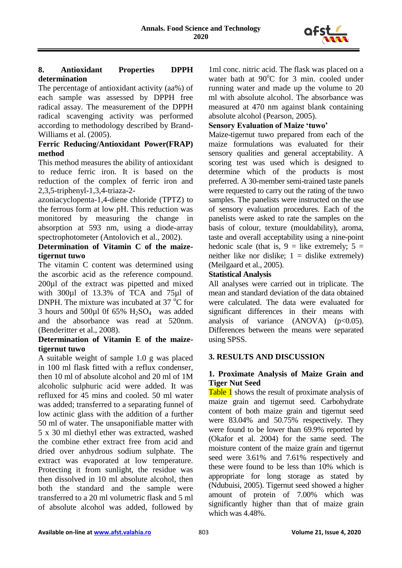

# **8. Antioxidant Properties DPPH determination**

The percentage of antioxidant activity (aa%) of each sample was assessed by DPPH free radical assay. The measurement of the DPPH radical scavenging activity was performed according to methodology described by Brand-Williams et al. (2005).

## **Ferric Reducing/Antioxidant Power(FRAP) method**

This method measures the ability of antioxidant to reduce ferric iron. It is based on the reduction of the complex of ferric iron and 2,3,5-triphenyl-1,3,4-triaza-2-

azoniacyclopenta-1,4-diene chloride (TPTZ) to the ferrous form at low pH. This reduction was monitored by measuring the change in absorption at 593 nm, using a diode-array spectrophotometer (Antolovich et al., 2002).

## **Determination of Vitamin C of the maizetigernut tuwo**

The vitamin C content was determined using the ascorbic acid as the reference compound. 200µl of the extract was pipetted and mixed with 300µl of 13.3% of TCA and 75µl of DNPH. The mixture was incubated at  $37^{\circ}$ C for 3 hours and 500 $\mu$ l 0f 65% H<sub>2</sub>SO<sub>4</sub> was added and the absorbance was read at 520nm. (Benderitter et al., 2008).

## **Determination of Vitamin E of the maizetigernut tuwo**

A suitable weight of sample 1.0 g was placed in 100 ml flask fitted with a reflux condenser, then 10 ml of absolute alcohol and 20 ml of 1M alcoholic sulphuric acid were added. It was refluxed for 45 mins and cooled. 50 ml water was added; transferred to a separating funnel of low actinic glass with the addition of a further 50 ml of water. The unsaponifiable matter with 5 x 30 ml diethyl ether was extracted, washed the combine ether extract free from acid and dried over anhydrous sodium sulphate. The extract was evaporated at low temperature. Protecting it from sunlight, the residue was then dissolved in 10 ml absolute alcohol, then both the standard and the sample were transferred to a 20 ml volumetric flask and 5 ml of absolute alcohol was added, followed by

1ml conc. nitric acid. The flask was placed on a water bath at 90°C for 3 min. cooled under running water and made up the volume to 20 ml with absolute alcohol. The absorbance was measured at 470 nm against blank containing absolute alcohol (Pearson, 2005).

# **Sensory Evaluation of Maize 'tuwo'**

Maize-tigernut tuwo prepared from each of the maize formulations was evaluated for their sensory qualities and general acceptability. A scoring test was used which is designed to determine which of the products is most preferred. A 30-member semi-trained taste panels were requested to carry out the rating of the tuwo samples. The panelists were instructed on the use of sensory evaluation procedures. Each of the panelists were asked to rate the samples on the basis of colour, texture (mouldability), aroma, taste and overall acceptability using a nine-point hedonic scale (that is,  $9 =$  like extremely;  $5 =$ neither like nor dislike;  $1 =$  dislike extremely) (Meilgaard et al., 2005).

## **Statistical Analysis**

All analyses were carried out in triplicate. The mean and standard deviation of the data obtained were calculated. The data were evaluated for significant differences in their means with analysis of variance  $(ANOVA)$   $(p<0.05)$ . Differences between the means were separated using SPSS.

#### **3. RESULTS AND DISCUSSION**

## **1. Proximate Analysis of Maize Grain and Tiger Nut Seed**

Table 1 shows the result of proximate analysis of maize grain and tigernut seed. Carbohydrate content of both maize grain and tigernut seed were 83.04% and 50.75% respectively. They were found to be lower than 69.9% reported by (Okafor et al. 2004) for the same seed. The moisture content of the maize grain and tigernut seed were 3.61% and 7.61% respectively and these were found to be less than 10% which is appropriate for long storage as stated by (Ndubuisi, 2005). Tigernut seed showed a higher amount of protein of 7.00% which was significantly higher than that of maize grain which was 4.48%.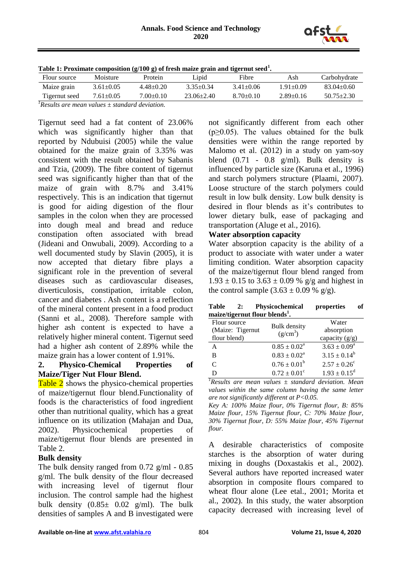

| Table 1: Proximate composition $(g/100 g)$ of fresh maize grain and tigernut seed <sup>1</sup> . |                 |                 |                  |                 |                 |                  |  |  |  |
|--------------------------------------------------------------------------------------------------|-----------------|-----------------|------------------|-----------------|-----------------|------------------|--|--|--|
| Flour source                                                                                     | Moisture        | Protein         | Lipid            | Fibre           | Ash             | Carbohydrate     |  |  |  |
| Maize grain                                                                                      | $3.61 \pm 0.05$ | $4.48 \pm 0.20$ | $3.35 + 0.34$    | $3.41 + 0.06$   | $1.91 + 0.09$   | $83.04 \pm 0.60$ |  |  |  |
| Tigernut seed                                                                                    | $7.61 \pm 0.05$ | $7.00 \pm 0.10$ | $23.06 \pm 2.40$ | $8.70 \pm 0.10$ | $2.89 \pm 0.16$ | $50.75 \pm 2.30$ |  |  |  |

*<sup>1</sup>Results are mean values ± standard deviation.*

Tigernut seed had a fat content of 23.06% which was significantly higher than that reported by Ndubuisi (2005) while the value obtained for the maize grain of 3.35% was consistent with the result obtained by Sabanis and Tzia, (2009). The fibre content of tigernut seed was significantly higher than that of the maize of grain with 8.7% and 3.41% respectively. This is an indication that tigernut is good for aiding digestion of the flour samples in the colon when they are processed into dough meal and bread and reduce constipation often associated with bread (Jideani and Onwubali, 2009). According to a well documented study by Slavin (2005), it is now accepted that dietary fibre plays a significant role in the prevention of several diseases such as cardiovascular diseases, diverticulosis, constipation, irritable colon, cancer and diabetes . Ash content is a reflection of the mineral content present in a food product (Sanni et al., 2008). Therefore sample with higher ash content is expected to have a relatively higher mineral content. Tigernut seed had a higher ash content of 2.89% while the maize grain has a lower content of 1.91%.

#### **2. Physico-Chemical Properties of Maize/Tiger Nut Flour Blend.**

Table 2 shows the physico-chemical properties of maize/tigernut flour blend.Functionality of foods is the characteristics of food ingredient other than nutritional quality, which has a great influence on its utilization (Mahajan and Dua, 2002). Physicochemical properties of maize/tigernut flour blends are presented in Table 2.

#### **Bulk density**

The bulk density ranged from 0.72 g/ml - 0.85 g/ml. The bulk density of the flour decreased with increasing level of tigernut flour inclusion. The control sample had the highest bulk density  $(0.85\pm 0.02 \text{ g/ml})$ . The bulk densities of samples A and B investigated were

not significantly different from each other  $(p \ge 0.05)$ . The values obtained for the bulk densities were within the range reported by Malomo et al. (2012) in a study on yam-soy blend  $(0.71 - 0.8 \text{ g/ml})$ . Bulk density is influenced by particle size (Karuna et al., 1996) and starch polymers structure (Plaami, 2007). Loose structure of the starch polymers could result in low bulk density. Low bulk density is desired in flour blends as it's contributes to lower dietary bulk, ease of packaging and transportation (Aluge et al., 2016).

## **Water absorption capacity**

Water absorption capacity is the ability of a product to associate with water under a water limiting condition. Water absorption capacity of the maize/tigernut flour blend ranged from  $1.93 \pm 0.15$  to  $3.63 \pm 0.09$  % g/g and highest in the control sample  $(3.63 \pm 0.09\% \text{ g/g})$ .

| Table<br>2:                                | Physicochemical         | of<br>properties        |  |  |  |  |  |  |
|--------------------------------------------|-------------------------|-------------------------|--|--|--|--|--|--|
| maize/tigernut flour blends <sup>1</sup> . |                         |                         |  |  |  |  |  |  |
| Flour source                               | <b>Bulk</b> density     | Water                   |  |  |  |  |  |  |
| (Maize: Tigernut                           | $(g/cm^3)$              | absorption              |  |  |  |  |  |  |
| flour blend)                               |                         | capacity $(g/g)$        |  |  |  |  |  |  |
| A                                          | $0.85 \pm 0.02^a$       | $3.63 \pm 0.09^a$       |  |  |  |  |  |  |
| в                                          | $0.83 \pm 0.02^a$       | $3.15 \pm 0.14^b$       |  |  |  |  |  |  |
| $\mathcal{C}_{\mathcal{C}}$                | $0.76 \pm 0.01^b$       | $2.57 \pm 0.26^{\circ}$ |  |  |  |  |  |  |
|                                            | $0.72 \pm 0.01^{\circ}$ | $1.93 \pm 0.15^d$       |  |  |  |  |  |  |

*<sup>1</sup>Results are mean values ± standard deviation. Mean values within the same column having the same letter are not significantly different at P<0.05.*

*Key A: 100% Maize flour, 0% Tigernut flour, B: 85% Maize flour, 15% Tigernut flour, C: 70% Maize flour, 30% Tigernut flour, D: 55% Maize flour, 45% Tigernut flour.*

A desirable characteristics of composite starches is the absorption of water during mixing in doughs (Doxastakis et al., 2002). Several authors have reported increased water absorption in composite flours compared to wheat flour alone (Lee etal., 2001; Morita et al., 2002). In this study, the water absorption capacity decreased with increasing level of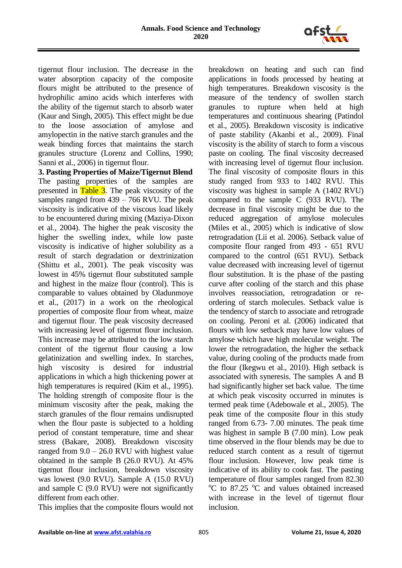

tigernut flour inclusion. The decrease in the water absorption capacity of the composite flours might be attributed to the presence of hydrophilic amino acids which interferes with the ability of the tigernut starch to absorb water (Kaur and Singh, 2005). This effect might be due to the loose association of amylose and amylopectin in the native starch granules and the weak binding forces that maintains the starch granules structure (Lorenz and Collins, 1990; Sanni et al., 2006) in tigernut flour.

**3. Pasting Properties of Maize/Tigernut Blend** The pasting properties of the samples are presented in Table 3. The peak viscosity of the samples ranged from 439 – 766 RVU. The peak viscosity is indicative of the viscous load likely to be encountered during mixing (Maziya-Dixon et al., 2004). The higher the peak viscosity the higher the swelling index, while low paste viscosity is indicative of higher solubility as a result of starch degradation or dextrinization (Shittu et al., 2001). The peak viscosity was lowest in 45% tigernut flour substituted sample and highest in the maize flour (control). This is comparable to values obtained by Oladunmoye et al., (2017) in a work on the rheological properties of composite flour from wheat, maize and tigernut flour. The peak viscosity decreased with increasing level of tigernut flour inclusion. This increase may be attributed to the low starch content of the tigernut flour causing a low gelatinization and swelling index. In starches, high viscosity is desired for industrial applications in which a high thickening power at high temperatures is required (Kim et al., 1995). The holding strength of composite flour is the minimum viscosity after the peak, making the starch granules of the flour remains undisrupted when the flour paste is subjected to a holding period of constant temperature, time and shear stress (Bakare, 2008). Breakdown viscosity ranged from  $9.0 - 26.0$  RVU with highest value obtained in the sample B (26.0 RVU). At 45% tigernut flour inclusion, breakdown viscosity was lowest (9.0 RVU). Sample A (15.0 RVU) and sample C (9.0 RVU) were not significantly different from each other.

This implies that the composite flours would not

breakdown on heating and such can find applications in foods processed by heating at high temperatures. Breakdown viscosity is the measure of the tendency of swollen starch granules to rupture when held at high temperatures and continuous shearing (Patindol et al., 2005). Breakdown viscosity is indicative of paste stability (Akanbi et al., 2009). Final viscosity is the ability of starch to form a viscous paste on cooling. The final viscosity decreased with increasing level of tigernut flour inclusion. The final viscosity of composite flours in this study ranged from 933 to 1402 RVU. This viscosity was highest in sample A (1402 RVU) compared to the sample C (933 RVU). The decrease in final viscosity might be due to the reduced aggregation of amylose molecules (Miles et al., 2005) which is indicative of slow retrogradation (Lii et al. 2006). Setback value of composite flour ranged from 493 - 651 RVU compared to the control (651 RVU). Setback value decreased with increasing level of tigernut flour substitution. It is the phase of the pasting curve after cooling of the starch and this phase involves reassociation, retrogradation or reordering of starch molecules. Setback value is the tendency of starch to associate and retrograde on cooling. Peroni et al. (2006) indicated that flours with low setback may have low values of amylose which have high molecular weight. The lower the retrogradation, the higher the setback value, during cooling of the products made from the flour (Ikegwu et al., 2010). High setback is associated with syneresis. The samples A and B had significantly higher set back value. The time at which peak viscosity occurred in minutes is termed peak time (Adebowale et al., 2005). The peak time of the composite flour in this study ranged from 6.73- 7.00 minutes. The peak time was highest in sample B (7.00 min). Low peak time observed in the flour blends may be due to reduced starch content as a result of tigernut flour inclusion. However, low peak time is indicative of its ability to cook fast. The pasting temperature of flour samples ranged from 82.30  $\rm{^{\circ}C}$  to 87.25  $\rm{^{\circ}C}$  and values obtained increased with increase in the level of tigernut flour inclusion.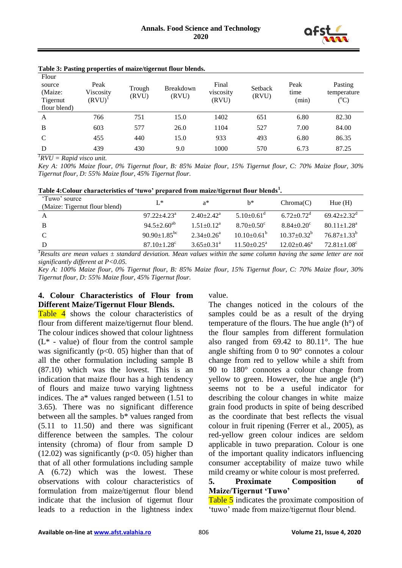

| Flour<br>source<br>(Maize:<br>Tigernut<br>flour blend) | Peak<br>Viscosity<br>$(RVU)^{1}$ | Trough<br>(RVU) | Breakdown<br>(RVU) | Final<br>viscosity<br>(RVU) | Setback<br>(RVU) | Peak<br>time<br>(min) | Pasting<br>temperature<br>$({}^{\rm o}\!{\rm C})$ |
|--------------------------------------------------------|----------------------------------|-----------------|--------------------|-----------------------------|------------------|-----------------------|---------------------------------------------------|
| A                                                      | 766                              | 751             | 15.0               | 1402                        | 651              | 6.80                  | 82.30                                             |
| B                                                      | 603                              | 577             | 26.0               | 1104                        | 527              | 7.00                  | 84.00                                             |
| $\mathcal{C}$                                          | 455                              | 440             | 15.0               | 933                         | 493              | 6.80                  | 86.35                                             |
| D                                                      | 439                              | 430             | 9.0                | 1000                        | 570              | 6.73                  | 87.25                                             |

#### **Table 3: Pasting properties of maize/tigernut flour blends.**

*1 RVU = Rapid visco unit.*

*Key A: 100% Maize flour, 0% Tigernut flour, B: 85% Maize flour, 15% Tigernut flour, C: 70% Maize flour, 30% Tigernut flour, D: 55% Maize flour, 45% Tigernut flour.*

| Table 4: Colour characteristics of 'tuwo' prepared from maize/tigernut flour blends <sup>1</sup> . |  |  |
|----------------------------------------------------------------------------------------------------|--|--|
|                                                                                                    |  |  |

| 'Tuwo' source<br>(Maize: Tigernut flour blend) | $L^*$                          | $a^*$                        | h*                       | Chroma(C)                    | Hue $(H)$                     |
|------------------------------------------------|--------------------------------|------------------------------|--------------------------|------------------------------|-------------------------------|
| A                                              | $97.22 + 4.23^a$               | $2.40 + 2.42^a$              | $5.10+0.61^{\circ}$      | $6.72 + 0.72^d$              | $69.42 + 2.32^{\circ}$        |
| B                                              | $94.5 + 2.60^{ab}$             | $1.51+0.12^a$                | $8.70 + 0.50^{\circ}$    | $8.84 \pm 0.20$ <sup>c</sup> | $80.11 \pm 1.28$ <sup>a</sup> |
| C                                              | 90.90 $\pm$ 1.85 <sup>bc</sup> | $2.34 + 0.26^a$              | $10.10 \pm 0.61^{\circ}$ | $10.37 + 0.32^b$             | $76.87 + 1.33^b$              |
| D                                              | $87.10 \pm 1.28$ <sup>c</sup>  | $3.65 \pm 0.31$ <sup>a</sup> | $11.50 \pm 0.25^{\circ}$ | $12.02+0.46^a$               | $72.81 + 1.08^{\circ}$        |
| $\sqrt{2}$                                     | .<br>$\sim$                    | $\mathbf{r}$                 |                          |                              |                               |

*<sup>1</sup>Results are mean values ± standard deviation. Mean values within the same column having the same letter are not significantly different at P<0.05.*

*Key A: 100% Maize flour, 0% Tigernut flour, B: 85% Maize flour, 15% Tigernut flour, C: 70% Maize flour, 30% Tigernut flour, D: 55% Maize flour, 45% Tigernut flour.*

#### **4. Colour Characteristics of Flour from Different Maize/Tigernut Flour Blends.**

Table 4 shows the colour characteristics of flour from different maize/tigernut flour blend. The colour indices showed that colour lightness  $(L^*$  - value) of flour from the control sample was significantly ( $p<0$ . 05) higher than that of all the other formulation including sample B (87.10) which was the lowest. This is an indication that maize flour has a high tendency of flours and maize tuwo varying lightness indices. The a\* values ranged between (1.51 to 3.65). There was no significant difference between all the samples. b\* values ranged from (5.11 to 11.50) and there was significant difference between the samples. The colour intensity (chroma) of flour from sample D  $(12.02)$  was significantly  $(p<0.05)$  higher than that of all other formulations including sample A (6.72) which was the lowest. These observations with colour characteristics of formulation from maize/tigernut flour blend indicate that the inclusion of tigernut flour leads to a reduction in the lightness index value.

The changes noticed in the colours of the samples could be as a result of the drying temperature of the flours. The hue angle (h°) of the flour samples from different formulation also ranged from 69.42 to 80.11°. The hue angle shifting from 0 to 90° connotes a colour change from red to yellow while a shift from 90 to 180° connotes a colour change from yellow to green. However, the hue angle (h°) seems not to be a useful indicator for describing the colour changes in white maize grain food products in spite of being described as the coordinate that best reflects the visual colour in fruit ripening (Ferrer et al., 2005), as red-yellow green colour indices are seldom applicable in tuwo preparation. Colour is one of the important quality indicators influencing consumer acceptability of maize tuwo while mild creamy or white colour is most preferred.

#### **5. Proximate Composition of Maize/Tigernut 'Tuwo'**

Table 5 indicates the proximate composition of 'tuwo' made from maize/tigernut flour blend.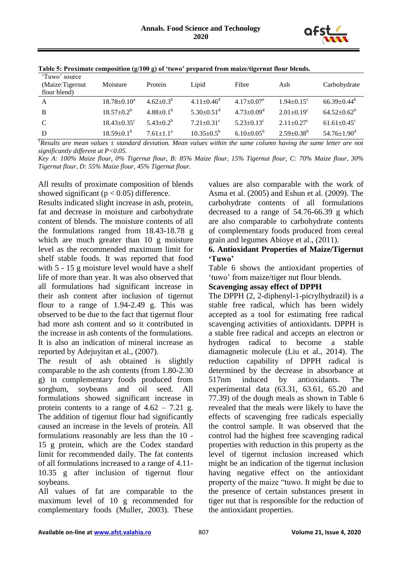

|                                                   | .                             | $\overline{\phantom{a}}$ |                         |                              |                              |                               |
|---------------------------------------------------|-------------------------------|--------------------------|-------------------------|------------------------------|------------------------------|-------------------------------|
| 'Tuwo' source<br>(Maize:Tigernut)<br>flour blend) | Moisture                      | Protein                  | Lipid                   | Fibre                        | Ash                          | Carbohydrate                  |
| A                                                 | $18.78 \pm 0.10^a$            | $4.62 \pm 0.3^{b}$       | $4.11 + 0.46^d$         | $4.17+0.07^e$                | $1.94 \pm 0.15$ <sup>c</sup> | $66.39 + 0.44^b$              |
| B                                                 | $18.57 \pm 0.2^b$             | $4.88+0.1^{b}$           | $5.30+0.51^{\circ}$     | $4.73 \pm 0.09$ <sup>d</sup> | $2.01 + 0.19^c$              | $64.52 \pm 0.62^b$            |
| C                                                 | $18.43 \pm 0.35$ <sup>c</sup> | $5.43 \pm 0.2^b$         | $7.21 + 0.31^c$         | $5.23 + 0.13^c$              | $2.11 + 0.27$ <sup>c</sup>   | $61.61 \pm 0.45$ <sup>c</sup> |
| D                                                 | $18.59 \pm 0.1^{\rm b}$       | $7.61 \pm 1.1^a$         | $10.35 \pm 0.5^{\circ}$ | $6.10\pm0.05^{\rm b}$        | $2.59 \pm 0.38^b$            | $54.76 \pm 1.90$ <sup>d</sup> |

| Table 5: Proximate composition (g/100 g) of 'tuwo' prepared from maize/tigernut flour blends. |  |  |
|-----------------------------------------------------------------------------------------------|--|--|
|                                                                                               |  |  |

*<sup>1</sup>Results are mean values ± standard deviation. Mean values within the same column having the same letter are not significantly different at P<0.05.*

*Key A: 100% Maize flour, 0% Tigernut flour, B: 85% Maize flour, 15% Tigernut flour, C: 70% Maize flour, 30% Tigernut flour, D: 55% Maize flour, 45% Tigernut flour.*

All results of proximate composition of blends showed significant ( $p < 0.05$ ) difference.

Results indicated slight increase in ash, protein, fat and decrease in moisture and carbohydrate content of blends. The moisture contents of all the formulations ranged from 18.43-18.78 g which are much greater than 10 g moisture level as the recommended maximum limit for shelf stable foods. It was reported that food with 5 - 15 g moisture level would have a shelf life of more than year. It was also observed that all formulations had significant increase in their ash content after inclusion of tigernut flour to a range of 1.94-2.49 g. This was observed to be due to the fact that tigernut flour had more ash content and so it contributed in the increase in ash contents of the formulations. It is also an indication of mineral increase as reported by Adejuyitan et al., (2007).

The result of ash obtained is slightly comparable to the ash contents (from 1.80-2.30 g) in complementary foods produced from sorghum, soybeans and oil seed. All formulations showed significant increase in protein contents to a range of  $4.62 - 7.21$  g. The addition of tigernut flour had significantly caused an increase in the levels of protein. All formulations reasonably are less than the 10 - 15 g protein, which are the Codex standard limit for recommended daily. The fat contents of all formulations increased to a range of 4.11- 10.35 g after inclusion of tigernut flour soybeans.

All values of fat are comparable to the maximum level of 10 g recommended for complementary foods (Muller, 2003). These

values are also comparable with the work of Asma et al. (2005) and Eshun et al. (2009). The carbohydrate contents of all formulations decreased to a range of 54.76-66.39 g which are also comparable to carbohydrate contents of complementary foods produced from cereal grain and legumes Abioye et al., (2011).

## **6. Antioxidant Properties of Maize/Tigernut 'Tuwo'**

Table 6 shows the antioxidant properties of 'tuwo' from maize/tiger nut flour blends.

#### **Scavenging assay effect of DPPH**

The DPPH (2, 2-diphenyl-1-picrylhydrazil) is a stable free radical, which has been widely accepted as a tool for estimating free radical scavenging activities of antioxidants. DPPH is a stable free radical and accepts an electron or hydrogen radical to become a stable diamagnetic molecule (Liu et al., 2014). The reduction capability of DPPH radical is determined by the decrease in absorbance at 517nm induced by antioxidants. The experimental data (63.31, 63.61, 65.20 and 77.39) of the dough meals as shown in Table 6 revealed that the meals were likely to have the effects of scavenging free radicals especially the control sample. It was observed that the control had the highest free scavenging radical properties with reduction in this property as the level of tigernut inclusion increased which might be an indication of the tigernut inclusion having negative effect on the antioxidant property of the maize "tuwo. It might be due to the presence of certain substances present in tiger nut that is responsible for the reduction of the antioxidant properties.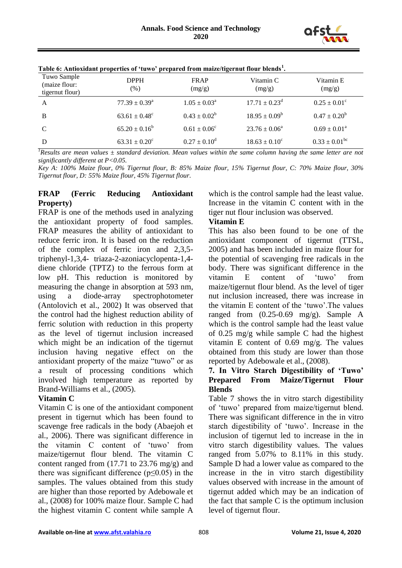

| Tuwo Sample<br>(maize flour:<br>tigernut flour) | <b>DPPH</b><br>$(\%)$       | <b>FRAP</b><br>(mg/g)      | Vitamin C<br>(mg/g)         | Vitamin E<br>(mg/g)        |
|-------------------------------------------------|-----------------------------|----------------------------|-----------------------------|----------------------------|
| A                                               | $77.39 \pm 0.39^{\text{a}}$ | $1.05 \pm 0.03^{\text{a}}$ | $17.71 \pm 0.23^{\text{d}}$ | $0.25 \pm 0.01^{\circ}$    |
| B                                               | $63.61 \pm 0.48^c$          | $0.43 \pm 0.02^b$          | $18.95 \pm 0.09^b$          | $0.47 \pm 0.20^b$          |
| C                                               | $65.20 \pm 0.16^b$          | $0.61 \pm 0.06^{\circ}$    | $23.76 \pm 0.06^{\circ}$    | $0.69 \pm 0.01^{\text{a}}$ |
| D                                               | $63.31 \pm 0.20^{\circ}$    | $0.27 \pm 0.10^{\rm d}$    | $18.63 \pm 0.10^{\circ}$    | $0.33 \pm 0.01^{bc}$       |

**Table 6: Antioxidant properties of 'tuwo' prepared from maize/tigernut flour blends<sup>1</sup> .**

 ${}^{1}$ *Results are mean values*  $\pm$  *standard deviation. Mean values within the same column having the same letter are not significantly different at P<0.05.*

*Key A: 100% Maize flour, 0% Tigernut flour, B: 85% Maize flour, 15% Tigernut flour, C: 70% Maize flour, 30% Tigernut flour, D: 55% Maize flour, 45% Tigernut flour.*

## **FRAP (Ferric Reducing Antioxidant Property)**

FRAP is one of the methods used in analyzing the antioxidant property of food samples. FRAP measures the ability of antioxidant to reduce ferric iron. It is based on the reduction of the complex of ferric iron and 2,3,5 triphenyl-1,3,4- triaza-2-azoniacyclopenta-1,4 diene chloride (TPTZ) to the ferrous form at low pH. This reduction is monitored by measuring the change in absorption at 593 nm, using a diode-array spectrophotometer (Antolovich et al., 2002) It was observed that the control had the highest reduction ability of ferric solution with reduction in this property as the level of tigernut inclusion increased which might be an indication of the tigernut inclusion having negative effect on the antioxidant property of the maize "tuwo" or as a result of processing conditions which involved high temperature as reported by Brand-Williams et al., (2005).

# **Vitamin C**

Vitamin C is one of the antioxidant component present in tigernut which has been found to scavenge free radicals in the body (Abaejoh et al., 2006). There was significant difference in the vitamin C content of 'tuwo' from maize/tigernut flour blend. The vitamin C content ranged from (17.71 to 23.76 mg/g) and there was significant difference ( $p \le 0.05$ ) in the samples. The values obtained from this study are higher than those reported by Adebowale et al., (2008) for 100% maize flour. Sample C had the highest vitamin C content while sample A

which is the control sample had the least value. Increase in the vitamin C content with in the tiger nut flour inclusion was observed.

# **Vitamin E**

This has also been found to be one of the antioxidant component of tigernut (TTSL, 2005) and has been included in maize flour for the potential of scavenging free radicals in the body. There was significant difference in the vitamin E content of 'tuwo' from maize/tigernut flour blend. As the level of tiger nut inclusion increased, there was increase in the vitamin E content of the 'tuwo'.The values ranged from (0.25-0.69 mg/g). Sample A which is the control sample had the least value of 0.25 mg/g while sample C had the highest vitamin E content of 0.69 mg/g. The values obtained from this study are lower than those reported by Adebowale et al., (2008).

## **7. In Vitro Starch Digestibility of 'Tuwo' Prepared From Maize/Tigernut Flour Blends**

Table 7 shows the in vitro starch digestibility of 'tuwo' prepared from maize/tigernut blend. There was significant difference in the in vitro starch digestibility of 'tuwo'. Increase in the inclusion of tigernut led to increase in the in vitro starch digestibility values. The values ranged from 5.07% to 8.11% in this study. Sample D had a lower value as compared to the increase in the in vitro starch digestibility values observed with increase in the amount of tigernut added which may be an indication of the fact that sample C is the optimum inclusion level of tigernut flour.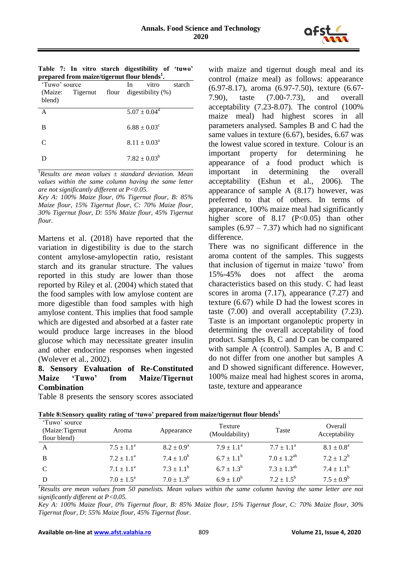

|  |  | Table 7: In vitro starch digestibility of 'tuwo'         |  |
|--|--|----------------------------------------------------------|--|
|  |  | prepared from maize/tigernut flour blends <sup>1</sup> . |  |

| 'Tuwo' source |                        | - | In | vitro                      | starch |
|---------------|------------------------|---|----|----------------------------|--------|
| blend)        | (Maize: Tigernut flour |   |    | digestibility $(\%)$       |        |
| A             |                        |   |    | $5.07 \pm 0.04^d$          |        |
| B             |                        |   |    | $6.88 \pm 0.03^{\circ}$    |        |
| $\mathcal{C}$ |                        |   |    | $8.11 \pm 0.03^{\text{a}}$ |        |
|               |                        |   |    | $7.82 \pm 0.03^b$          |        |
|               |                        |   |    |                            |        |

*<sup>1</sup>Results are mean values ± standard deviation. Mean values within the same column having the same letter are not significantly different at P<0.05.*

*Key A: 100% Maize flour, 0% Tigernut flour, B: 85% Maize flour, 15% Tigernut flour, C: 70% Maize flour, 30% Tigernut flour, D: 55% Maize flour, 45% Tigernut flour.*

Martens et al. (2018) have reported that the variation in digestibility is due to the starch content amylose-amylopectin ratio, resistant starch and its granular structure. The values reported in this study are lower than those reported by Riley et al. (2004) which stated that the food samples with low amylose content are more digestible than food samples with high amylose content. This implies that food sample which are digested and absorbed at a faster rate would produce large increases in the blood glucose which may necessitate greater insulin and other endocrine responses when ingested (Wolever et al., 2002).

## **8. Sensory Evaluation of Re-Constituted Maize 'Tuwo' from Maize/Tigernut Combination**

Table 8 presents the sensory scores associated

with maize and tigernut dough meal and its control (maize meal) as follows: appearance (6.97-8.17), aroma (6.97-7.50), texture (6.67- 7.90), taste (7.00-7.73), and overall acceptability (7.23-8.07). The control (100% maize meal) had highest scores in all parameters analysed. Samples B and C had the same values in texture (6.67), besides, 6.67 was the lowest value scored in texture. Colour is an important property for determining he appearance of a food product which is important in determining the overall acceptability (Eshun et al., 2006). The appearance of sample A (8.17) however, was preferred to that of others. In terms of appearance, 100% maize meal had significantly higher score of  $8.17$  (P<0.05) than other samples  $(6.97 - 7.37)$  which had no significant difference.

There was no significant difference in the aroma content of the samples. This suggests that inclusion of tigernut in maize 'tuwo' from 15%-45% does not affect the aroma characteristics based on this study. C had least scores in aroma (7.17), appearance (7.27) and texture (6.67) while D had the lowest scores in taste (7.00) and overall acceptability (7.23). Taste is an important organoleptic property in determining the overall acceptability of food product. Samples B, C and D can be compared with sample A (control). Samples A, B and C do not differ from one another but samples A and D showed significant difference. However, 100% maize meal had highest scores in aroma, taste, texture and appearance

| 'Tuwo' source<br>(Maize:Tigernut)<br>flour blend) | Aroma                 | Appearance            | Texture<br>(Mouldability) | Taste                 | Overall<br>Acceptability |
|---------------------------------------------------|-----------------------|-----------------------|---------------------------|-----------------------|--------------------------|
| A                                                 | $7.5 \pm 1.1^{\circ}$ | $8.2 \pm 0.9^{\circ}$ | $7.9 \pm 1.1^{\circ}$     | $7.7 \pm 1.1^{\circ}$ | $8.1 \pm 0.8^{\rm a}$    |
| B                                                 | $7.2 + 1.1^a$         | $7.4 \pm 1.0^b$       | $6.7 + 1.1^{b}$           | $7.0 \pm 1.2^{ab}$    | $7.2 \pm 1.2^b$          |
| C                                                 | $7.1 \pm 1.1^{\circ}$ | $7.3 \pm 1.1^b$       | $6.7 \pm 1.3^b$           | $7.3 \pm 1.3^{ab}$    | $7.4 \pm 1.1^{\rm b}$    |
| D                                                 | $7.0 \pm 1.5^{\circ}$ | $7.0 \pm 1.3^b$       | $6.9 + 1.0^{b}$           | $7.2 \pm 1.5^{\rm b}$ | $7.5 \pm 0.9^b$          |

**Table 8:Sensory quality rating of 'tuwo' prepared from maize/tigernut flour blends<sup>1</sup>**

*<sup>1</sup>Results are mean values from 50 panelists. Mean values within the same column having the same letter are not significantly different at P<0.05.*

*Key A: 100% Maize flour, 0% Tigernut flour, B: 85% Maize flour, 15% Tigernut flour, C: 70% Maize flour, 30% Tigernut flour, D: 55% Maize flour, 45% Tigernut flour.*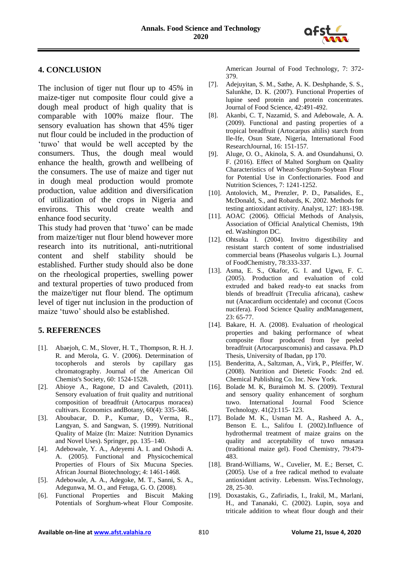

# **4. CONCLUSION**

The inclusion of tiger nut flour up to 45% in maize-tiger nut composite flour could give a dough meal product of high quality that is comparable with 100% maize flour. The sensory evaluation has shown that 45% tiger nut flour could be included in the production of 'tuwo' that would be well accepted by the consumers. Thus, the dough meal would enhance the health, growth and wellbeing of the consumers. The use of maize and tiger nut in dough meal production would promote production, value addition and diversification of utilization of the crops in Nigeria and environs. This would create wealth and enhance food security.

This study had proven that 'tuwo' can be made from maize/tiger nut flour blend however more research into its nutritional, anti-nutritional content and shelf stability should be established. Further study should also be done on the rheological properties, swelling power and textural properties of tuwo produced from the maize/tiger nut flour blend. The optimum level of tiger nut inclusion in the production of maize 'tuwo' should also be established.

# **5. REFERENCES**

- [1]. Abaejoh, C. M., Slover, H. T., Thompson, R. H. J. R. and Merola, G. V. (2006). Determination of tocopherols and sterols by capillary gas chromatography. Journal of the American Oil Chemist's Society, 60: 1524-1528.
- [2]. Abioye A., Ragone, D and Cavaleth, (2011). Sensory evaluation of fruit quality and nutritional composition of breadfruit (Artocarpus moracea) cultivars. Economics andBotany, 60(4): 335-346.
- [3]. Aboubacar, D. P., Kumar, D., Verma, R., Langyan, S. and Sangwan, S. (1999). Nutritional Quality of Maize (In: Maize: Nutrition Dynamics and Novel Uses). Springer, pp. 135–140.
- [4]. Adebowale, Y. A., Adeyemi A. I. and Oshodi A. A. (2005). Functional and Physicochemical Properties of Flours of Six Mucuna Species. African Journal Biotechnology; 4: 1461-1468.
- [5]. Adebowale, A. A., Adegoke, M. T., Sanni, S. A., Adegunwa, M. O., and Fetuga, G. O. (2008).
- [6]. Functional Properties and Biscuit Making Potentials of Sorghum-wheat Flour Composite.

American Journal of Food Technology, 7: 372- 379.

- [7]. Adejuyitan, S. M., Sathe, A. K. Deshphande, S. S., Salunkhe, D. K. (2007). Functional Properties of lupine seed protein and protein concentrates. Journal of Food Science, 42:491-492.
- [8]. Akanbi, C. T, Nazamid, S. and Adebowale, A. A. (2009). Functional and pasting properties of a tropical breadfruit (Artocarpus altilis) starch from Ile-Ife, Osun State, Nigeria, International Food ResearchJournal, 16: 151-157.
- [9]. Aluge, O. O., Akinola, S. A. and Osundahunsi, O. F. (2016). Effect of Malted Sorghum on Quality Characteristics of Wheat-Sorghum-Soybean Flour for Potential Use in Confectionaries. Food and Nutrition Sciences, 7: 1241-1252.
- [10]. Antolovich, M., Prenzler, P. D., Patsalides, E., McDonald, S., and Robards, K. 2002. Methods for testing antioxidant activity. Analyst, 127: 183-198.
- [11]. AOAC (2006). Official Methods of Analysis, Association of Official Analytical Chemists, 19th ed. Washington DC.
- [12]. Ohtsuka I. (2004). Invitro digestibility and resistant starch content of some industrialised commercial beans (Phaseolus vulgaris L.). Journal of FoodChemistry, 78:333-337.
- [13]. Asma, E. S., Okafor, G. I. and Ugwu, F. C. (2005). Production and evaluation of cold extruded and baked ready-to eat snacks from blends of breadfruit (Treculia africana), cashew nut (Anacardium occidentale) and coconut (Cocos nucifera). Food Science Quality andManagement, 23: 65-77.
- [14]. Bakare, H. A. (2008). Evaluation of rheological properties and baking performance of wheat composite flour produced from Iye peeled breadfruit (Artocarpuscomunis) and cassava. Ph.D Thesis, University of Ibadan, pp 170.
- [15]. Benderitta, A., Saltzman, A., Virk, P., Pfeiffer, W. (2008). Nutrition and Dietetic Foods: 2nd ed. Chemical Publishing Co. Inc. New York.
- [16]. Bolade M. K, Buraimoh M. S. (2009). Textural and sensory quality enhancement of sorghum tuwo. International Journal Food Science Technology. 41(2):115- 123.
- [17]. Bolade M. K., Usman M. A., Rasheed A. A., Benson E. L., Salifou I. (2002).Influence of hydrothermal treatment of maize grains on the quality and acceptability of tuwo nmasara (traditional maize gel). Food Chemistry, 79:479- 483.
- [18]. Brand-Williams, W., Cuvelier, M. E.; Berset, C. (2005). Use of a free radical method to evaluate antioxidant activity. Lebensm. Wiss.Technology, 28, 25-30.
- [19]. Doxastakis, G., Zafiriadis, I., Irakil, M., Marlani, H., and Tananaki, C. (2002). Lupin, soya and triticale addition to wheat flour dough and their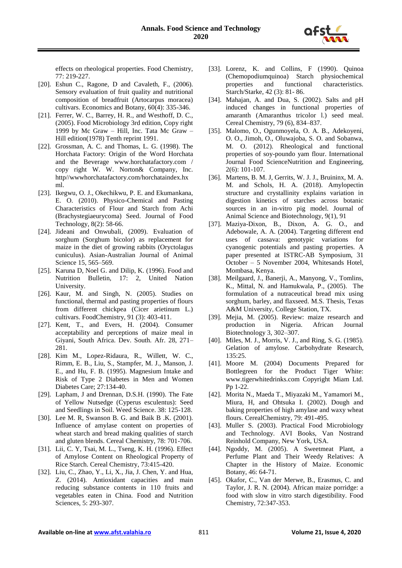

effects on rheological properties. Food Chemistry, 77: 219-227.

- [20]. Eshun C., Ragone, D and Cavaleth, F., (2006). Sensory evaluation of fruit quality and nutritional composition of breadfruit (Artocarpus moracea) cultivars. Economics and Botany, 60(4): 335-346.
- [21]. Ferrer, W. C., Barrey, H. R., and Westhoff, D. C., (2005). Food Microbiology 3rd edition, Copy right 1999 by Mc Graw – Hill, Inc. Tata Mc Graw – Hill edition(1978) Tenth reprint 1991.
- [22]. Grossman, A. C. and Thomas, L. G. (1998). The Horchata Factory: Origin of the Word Horchata and the Beverage www.horchatafactory.com / copy right W. W. Norton& Company, Inc. http//wwwhorchatafactory.com/horchataindex.hx ml.
- [23]. Ikegwu, O. J., Okechikwu, P. E. and Ekumankana, E. O. (2010). Physico-Chemical and Pasting Characteristics of Flour and Starch from Achi (Brachystegiaeurycoma) Seed. Journal of Food Technology, 8(2): 58-66.
- [24]. Jideani and Onwubali, (2009). Evaluation of sorghum (Sorghum bicolor) as replacement for maize in the diet of growing rabbits (Oryctolagus cuniculus). Asian-Australian Journal of Animal Science 15, 565–569.
- [25]. Karuna D, Noel G. and Dilip, K. (1996). Food and Nutrition Bulletin, 17: 2, United Nation University.
- [26]. Kaur, M. and Singh, N. (2005). Studies on functional, thermal and pasting properties of flours from different chickpea (Cicer arietinum L.) cultivars. FoodChemistry, 91 (3): 403-411.
- [27]. Kent, T., and Evers, H. (2004). Consumer acceptability and perceptions of maize meal in Giyani, South Africa. Dev. South. Afr. 28, 271– 281.
- [28]. Kim M., Lopez-Ridaura, R., Willett, W. C., Rimm, E. B., Liu, S., Stampfer, M. J., Manson, J. E., and Hu, F. B. (1995). Magnesium Intake and Risk of Type 2 Diabetes in Men and Women Diabetes Care; 27:134-40.
- [29]. Lapham, J and Drennan, D.S.H. (1990). The Fate of Yellow Nutsedge (Cyperus esculentus): Seed and Seedlings in Soil. Weed Science. 38: 125-128.
- [30]. Lee M. R, Swanson B. G. and Baik B .K. (2001). Influence of amylase content on properties of wheat starch and bread making qualities of starch and gluten blends. Cereal Chemistry, 78: 701-706.
- [31]. Lii, C. Y, Tsai, M. L., Tseng, K. H. (1996). Effect of Amylose Content on Rheological Property of Rice Starch. Cereal Chemistry, 73:415-420.
- [32]. Liu, C., Zhao, Y., Li, X., Jia, J. Chen, Y. and Hua, Z. (2014). Antioxidant capacities and main reducing substance contents in 110 fruits and vegetables eaten in China. Food and Nutrition Sciences, 5: 293-307.
- [33]. Lorenz, K. and Collins, F (1990). Quinoa (Chemopodiumquinoa) Starch physiochemical properties and functional characteristics. Starch/Starke, 42 (3): 81- 86.
- [34]. Mahajan, A. and Dua, S. (2002). Salts and pH induced changes in functional properties of amaranth (Amaranthus tricolor l.) seed meal. Cereal Chemistry, 79 (6), 834–837.
- [35]. Malomo, O., Ogunmoyela, O. A. B., Adekoyeni, O. O., Jimoh, O., Oluwajoba, S. O. and Sobanwa, M. O. (2012). Rheological and functional properties of soy-poundo yam flour. International Journal Food ScienceNutrition and Engineering, 2(6): 101-107.
- [36]. Martens, B. M. J, Gerrits, W. J. J., Bruininx, M. A. M. and Schols, H. A. (2018). Amylopectin structure and crystallinity explains variation in digestion kinetics of starches across botanic sources in an in-vitro pig model. Journal of Animal Science and Biotechnology, 9(1), 91
- [37]. Maziya-Dixon, B., Dixon, A. G. O., and Adebowale, A. A. (2004). Targeting different end uses of cassava: genotypic variations for cyanogenic potentials and pasting properties. A paper presented at ISTRC-AB Symposium, 31 October – 5 November 2004, Whitesands Hotel, Mombasa, Kenya.
- [38]. Meilgaard, J., Banerji, A., Manyong, V., Tomlins, K., Mittal, N. and Hamukwala, P., (2005). The formulation of a nutraceutical bread mix using sorghum, barley, and flaxseed. M.S. Thesis, Texas A&M University, College Station, TX.
- [39]. Mejia, M. (2005). Review: maize research and production in Nigeria. African Journal Biotechnology 3, 302–307.
- [40]. Miles, M. J., Morris, V. J., and Ring, S. G. (1985). Gelation of amylose. Carbohydrate Research, 135:25.
- [41]. Moore M. (2004) Documents Prepared for Bottlegreen for the Product Tiger White: www.tigerwhitedrinks.com Copyright Miam Ltd. Pp 1-22.
- [42]. Morita N., Maeda T., Miyazaki M., Yamamori M., Miura, H, and Ohtsuka I. (2002). Dough and baking properties of high amylase and waxy wheat flours. CerealChemistry, 79: 491-495.
- [43]. Muller S. (2003). Practical Food Microbiology and Technology. AVI Books, Van Nostrand Reinhold Company, New York, USA.
- [44]. Ngoddy, M. (2005). A Sweetmeat Plant, a Perfume Plant and Their Weedy Relatives: A Chapter in the History of Maize. Economic Botany, 46: 64-71.
- [45]. Okafor, C., Van der Merwe, B., Erasmus, C. and Taylor, J. R. N. (2004). African maize porridge: a food with slow in vitro starch digestibility. Food Chemistry, 72:347-353.